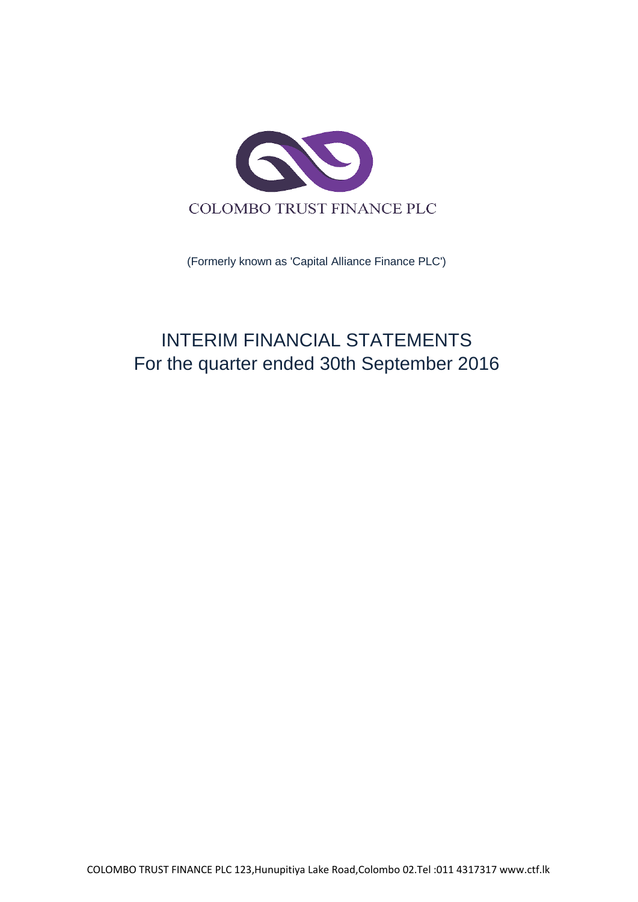

(Formerly known as 'Capital Alliance Finance PLC')

# INTERIM FINANCIAL STATEMENTS For the quarter ended 30th September 2016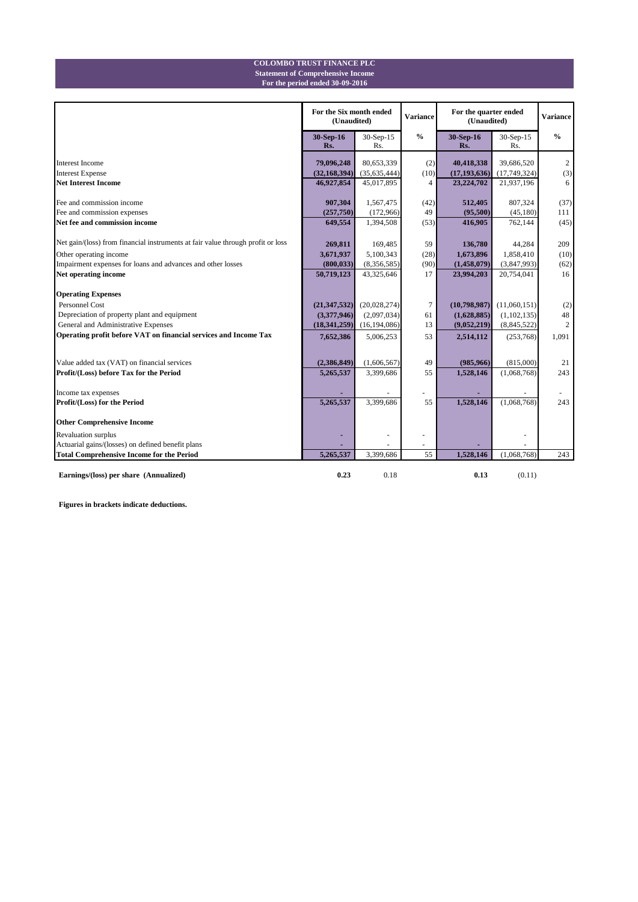#### **For the period ended 30-09-2016 Statement of Comprehensive Income COLOMBO TRUST FINANCE PLC**

|                                                                                 | For the Six month ended<br>(Unaudited) |                  | <b>Variance</b> | For the quarter ended<br>(Unaudited) |                  | <b>Variance</b> |
|---------------------------------------------------------------------------------|----------------------------------------|------------------|-----------------|--------------------------------------|------------------|-----------------|
|                                                                                 | 30-Sep-16<br>Rs.                       | 30-Sep-15<br>Rs. | $\frac{0}{0}$   | 30-Sep-16<br>Rs.                     | 30-Sep-15<br>Rs. | $\frac{0}{0}$   |
| <b>Interest Income</b>                                                          | 79,096,248                             | 80,653,339       | (2)             | 40,418,338                           | 39,686,520       | 2               |
| <b>Interest Expense</b>                                                         | (32, 168, 394)                         | (35, 635, 444)   | (10)            | (17, 193, 636)                       | (17,749,324)     | (3)             |
| <b>Net Interest Income</b>                                                      | 46,927,854                             | 45,017,895       | 4               | 23,224,702                           | 21,937,196       | 6               |
| Fee and commission income                                                       | 907,304                                | 1,567,475        | (42)            | 512,405                              | 807,324          | (37)            |
| Fee and commission expenses                                                     | (257,750)                              | (172,966)        | 49              | (95,500)                             | (45,180)         | 111             |
| Net fee and commission income                                                   | 649,554                                | 1,394,508        | (53)            | 416,905                              | 762,144          | (45)            |
| Net gain/(loss) from financial instruments at fair value through profit or loss | 269,811                                | 169,485          | 59              | 136,780                              | 44,284           | 209             |
| Other operating income                                                          | 3,671,937                              | 5,100,343        | (28)            | 1,673,896                            | 1,858,410        | (10)            |
| Impairment expenses for loans and advances and other losses                     | (800, 033)                             | (8,356,585)      | (90)            | (1,458,079)                          | (3,847,993)      | (62)            |
| Net operating income                                                            | 50,719,123                             | 43,325,646       | 17              | 23,994,203                           | 20,754,041       | 16              |
| <b>Operating Expenses</b>                                                       |                                        |                  |                 |                                      |                  |                 |
| Personnel Cost                                                                  | (21, 347, 532)                         | (20,028,274)     | $\overline{7}$  | (10,798,987)                         | (11,060,151)     | (2)             |
| Depreciation of property plant and equipment                                    | (3,377,946)                            | (2,097,034)      | 61              | (1,628,885)                          | (1,102,135)      | 48              |
| General and Administrative Expenses                                             | (18, 341, 259)                         | (16, 194, 086)   | 13              | (9,052,219)                          | (8, 845, 522)    | $\overline{c}$  |
| Operating profit before VAT on financial services and Income Tax                | 7,652,386                              | 5,006,253        | 53              | 2,514,112                            | (253,768)        | 1,091           |
|                                                                                 |                                        |                  |                 |                                      |                  |                 |
| Value added tax (VAT) on financial services                                     | (2,386,849)                            | (1,606,567)      | 49              | (985, 966)                           | (815,000)        | 21              |
| Profit/(Loss) before Tax for the Period                                         | 5,265,537                              | 3,399,686        | 55              | 1,528,146                            | (1,068,768)      | 243             |
| Income tax expenses                                                             |                                        |                  |                 |                                      |                  |                 |
| Profit/(Loss) for the Period                                                    | 5,265,537                              | 3,399,686        | 55              | 1,528,146                            | (1,068,768)      | 243             |
| <b>Other Comprehensive Income</b>                                               |                                        |                  |                 |                                      |                  |                 |
| Revaluation surplus                                                             |                                        |                  |                 |                                      |                  |                 |
| Actuarial gains/(losses) on defined benefit plans                               |                                        |                  |                 |                                      |                  |                 |
| <b>Total Comprehensive Income for the Period</b>                                | 5.265.537                              | 3.399.686        | 55              | 1.528,146                            | (1.068, 768)     | 243             |
| Earnings/(loss) per share (Annualized)                                          | 0.23                                   | 0.18             |                 | 0.13                                 | (0.11)           |                 |

**Figures in brackets indicate deductions.**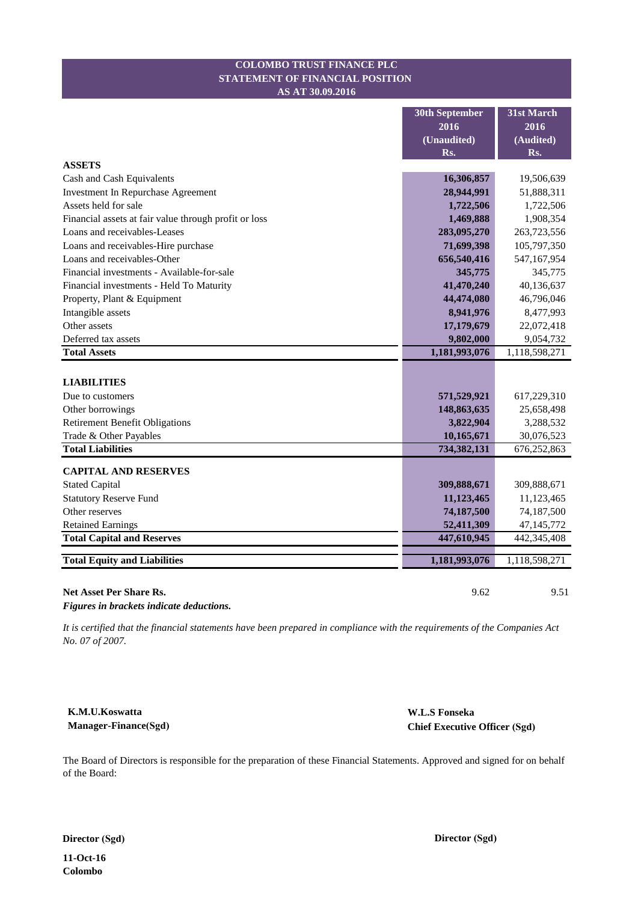#### **STATEMENT OF FINANCIAL POSITION COLOMBO TRUST FINANCE PLC AS AT 30.09.2016**

|                                                       | <b>30th September</b> | 31st March    |
|-------------------------------------------------------|-----------------------|---------------|
|                                                       | 2016                  | 2016          |
|                                                       | (Unaudited)           | (Audited)     |
|                                                       | Rs.                   | Rs.           |
| <b>ASSETS</b>                                         |                       |               |
| Cash and Cash Equivalents                             | 16,306,857            | 19,506,639    |
| <b>Investment In Repurchase Agreement</b>             | 28,944,991            | 51,888,311    |
| Assets held for sale                                  | 1,722,506             | 1,722,506     |
| Financial assets at fair value through profit or loss | 1,469,888             | 1,908,354     |
| Loans and receivables-Leases                          | 283,095,270           | 263,723,556   |
| Loans and receivables-Hire purchase                   | 71,699,398            | 105,797,350   |
| Loans and receivables-Other                           | 656,540,416           | 547,167,954   |
| Financial investments - Available-for-sale            | 345,775               | 345,775       |
| Financial investments - Held To Maturity              | 41,470,240            | 40,136,637    |
| Property, Plant & Equipment                           | 44,474,080            | 46,796,046    |
| Intangible assets                                     | 8,941,976             | 8,477,993     |
| Other assets                                          | 17,179,679            | 22,072,418    |
| Deferred tax assets                                   | 9,802,000             | 9,054,732     |
| <b>Total Assets</b>                                   | 1,181,993,076         | 1,118,598,271 |
|                                                       |                       |               |
| <b>LIABILITIES</b>                                    |                       |               |
| Due to customers                                      | 571,529,921           | 617,229,310   |
| Other borrowings                                      | 148,863,635           | 25,658,498    |
| <b>Retirement Benefit Obligations</b>                 | 3,822,904             | 3,288,532     |
| Trade & Other Payables                                | 10,165,671            | 30,076,523    |
| <b>Total Liabilities</b>                              | 734, 382, 131         | 676,252,863   |
| <b>CAPITAL AND RESERVES</b>                           |                       |               |
| <b>Stated Capital</b>                                 | 309,888,671           | 309,888,671   |
| <b>Statutory Reserve Fund</b>                         | 11,123,465            | 11,123,465    |
| Other reserves                                        | 74,187,500            | 74,187,500    |
| <b>Retained Earnings</b>                              | 52,411,309            | 47,145,772    |
| <b>Total Capital and Reserves</b>                     | 447,610,945           | 442,345,408   |
|                                                       |                       |               |
| <b>Total Equity and Liabilities</b>                   | 1,181,993,076         | 1,118,598,271 |
|                                                       |                       |               |
| <b>Net Asset Per Share Rs.</b>                        | 9.62                  | 9.51          |

*Figures in brackets indicate deductions.*

*It is certified that the financial statements have been prepared in compliance with the requirements of the Companies Act No. 07 of 2007.*

**K.M.U.Koswatta Manager-Finance(Sgd)** **W.L.S Fonseka Chief Executive Officer (Sgd)**

The Board of Directors is responsible for the preparation of these Financial Statements. Approved and signed for on behalf of the Board:

**Director (Sgd) Director (Sgd)**

**11-Oct-16 Colombo**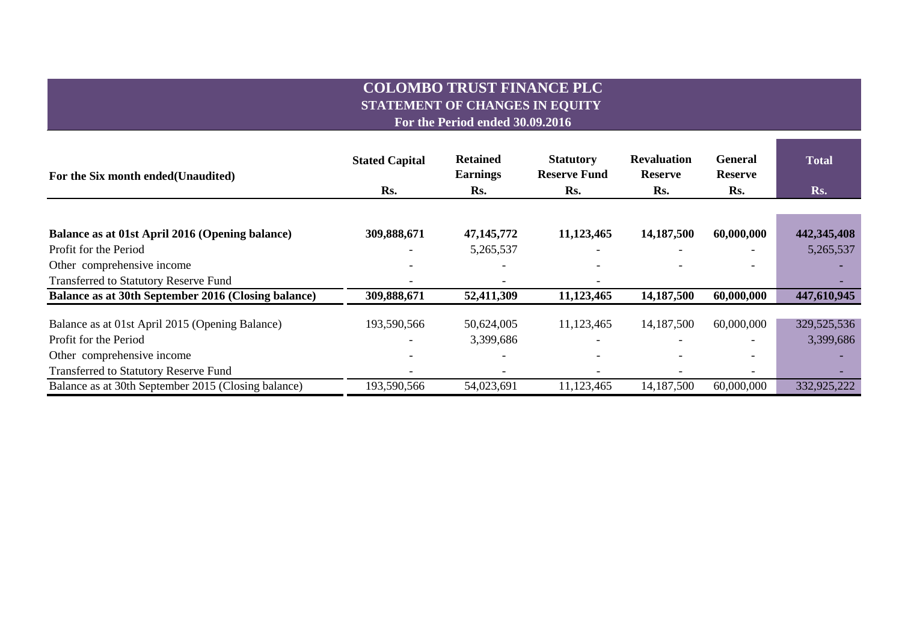# **COLOMBO TRUST FINANCE PLC STATEMENT OF CHANGES IN EQUITY For the Period ended 30.09.2016**

the control of the control of the control of the control of

| For the Six month ended (Unaudited)                 | <b>Stated Capital</b> | <b>Retained</b><br><b>Earnings</b> | <b>Statutory</b><br><b>Reserve Fund</b> | <b>Revaluation</b><br><b>Reserve</b> | <b>General</b><br><b>Reserve</b> | <b>Total</b> |  |
|-----------------------------------------------------|-----------------------|------------------------------------|-----------------------------------------|--------------------------------------|----------------------------------|--------------|--|
|                                                     | Rs.                   | Rs.                                | Rs.                                     | Rs.                                  | Rs.                              | Rs.          |  |
|                                                     |                       |                                    |                                         |                                      |                                  |              |  |
| Balance as at 01st April 2016 (Opening balance)     | 309,888,671           | 47, 145, 772                       | 11,123,465                              | 14,187,500                           | 60,000,000                       | 442,345,408  |  |
| Profit for the Period                               |                       | 5,265,537                          |                                         |                                      |                                  | 5,265,537    |  |
| Other comprehensive income                          |                       |                                    |                                         |                                      |                                  |              |  |
| <b>Transferred to Statutory Reserve Fund</b>        |                       |                                    |                                         |                                      |                                  |              |  |
| Balance as at 30th September 2016 (Closing balance) | 309,888,671           | 52,411,309                         | 11,123,465                              | 14,187,500                           | 60,000,000                       | 447,610,945  |  |
| Balance as at 01st April 2015 (Opening Balance)     | 193,590,566           | 50,624,005                         | 11,123,465                              | 14,187,500                           | 60,000,000                       | 329,525,536  |  |
| Profit for the Period                               |                       | 3,399,686                          |                                         |                                      |                                  | 3,399,686    |  |
| Other comprehensive income                          |                       |                                    |                                         |                                      |                                  |              |  |
| <b>Transferred to Statutory Reserve Fund</b>        |                       |                                    |                                         |                                      |                                  |              |  |
| Balance as at 30th September 2015 (Closing balance) | 193,590,566           | 54,023,691                         | 11,123,465                              | 14,187,500                           | 60,000,000                       | 332,925,222  |  |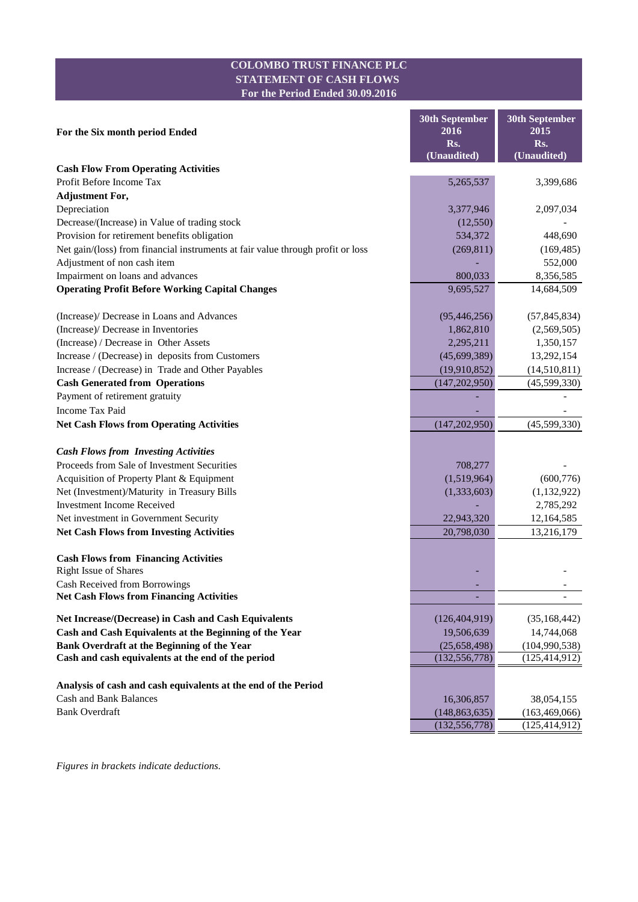### **COLOMBO TRUST FINANCE PLC STATEMENT OF CASH FLOWS For the Period Ended 30.09.2016**

|                                                                                 | <b>30th September</b> | <b>30th September</b> |
|---------------------------------------------------------------------------------|-----------------------|-----------------------|
| For the Six month period Ended                                                  | 2016                  | 2015                  |
|                                                                                 | Rs.                   | Rs.                   |
|                                                                                 | (Unaudited)           | (Unaudited)           |
| <b>Cash Flow From Operating Activities</b>                                      |                       |                       |
| Profit Before Income Tax                                                        | 5,265,537             | 3,399,686             |
| <b>Adjustment For,</b>                                                          |                       |                       |
| Depreciation                                                                    | 3,377,946             | 2,097,034             |
| Decrease/(Increase) in Value of trading stock                                   | (12, 550)             |                       |
| Provision for retirement benefits obligation                                    | 534,372               | 448,690               |
| Net gain/(loss) from financial instruments at fair value through profit or loss | (269, 811)            | (169, 485)            |
| Adjustment of non cash item                                                     |                       | 552,000               |
| Impairment on loans and advances                                                | 800,033               | 8,356,585             |
| <b>Operating Profit Before Working Capital Changes</b>                          | 9,695,527             | 14,684,509            |
| (Increase)/ Decrease in Loans and Advances                                      | (95, 446, 256)        | (57, 845, 834)        |
| (Increase)/ Decrease in Inventories                                             | 1,862,810             | (2,569,505)           |
| (Increase) / Decrease in Other Assets                                           | 2,295,211             | 1,350,157             |
| Increase / (Decrease) in deposits from Customers                                | (45,699,389)          | 13,292,154            |
| Increase / (Decrease) in Trade and Other Payables                               | (19,910,852)          | (14,510,811)          |
| <b>Cash Generated from Operations</b>                                           | (147, 202, 950)       | (45,599,330)          |
| Payment of retirement gratuity                                                  |                       |                       |
| Income Tax Paid                                                                 |                       |                       |
| <b>Net Cash Flows from Operating Activities</b>                                 | (147, 202, 950)       | (45,599,330)          |
| <b>Cash Flows from Investing Activities</b>                                     |                       |                       |
| Proceeds from Sale of Investment Securities                                     | 708,277               |                       |
| Acquisition of Property Plant & Equipment                                       | (1,519,964)           | (600, 776)            |
| Net (Investment)/Maturity in Treasury Bills                                     | (1,333,603)           | (1, 132, 922)         |
| <b>Investment Income Received</b>                                               |                       | 2,785,292             |
| Net investment in Government Security                                           | 22,943,320            | 12,164,585            |
| <b>Net Cash Flows from Investing Activities</b>                                 | 20,798,030            | 13,216,179            |
|                                                                                 |                       |                       |
| <b>Cash Flows from Financing Activities</b><br><b>Right Issue of Shares</b>     |                       |                       |
| Cash Received from Borrowings                                                   |                       |                       |
| <b>Net Cash Flows from Financing Activities</b>                                 |                       | -                     |
| Net Increase/(Decrease) in Cash and Cash Equivalents                            | (126, 404, 919)       | (35, 168, 442)        |
| Cash and Cash Equivalents at the Beginning of the Year                          | 19,506,639            | 14,744,068            |
| Bank Overdraft at the Beginning of the Year                                     | (25,658,498)          | (104, 990, 538)       |
| Cash and cash equivalents at the end of the period                              | (132, 556, 778)       | (125, 414, 912)       |
| Analysis of cash and cash equivalents at the end of the Period                  |                       |                       |
| <b>Cash and Bank Balances</b>                                                   | 16,306,857            | 38,054,155            |
| <b>Bank Overdraft</b>                                                           | (148, 863, 635)       | (163, 469, 066)       |
|                                                                                 | (132, 556, 778)       | (125, 414, 912)       |
|                                                                                 |                       |                       |

*Figures in brackets indicate deductions.*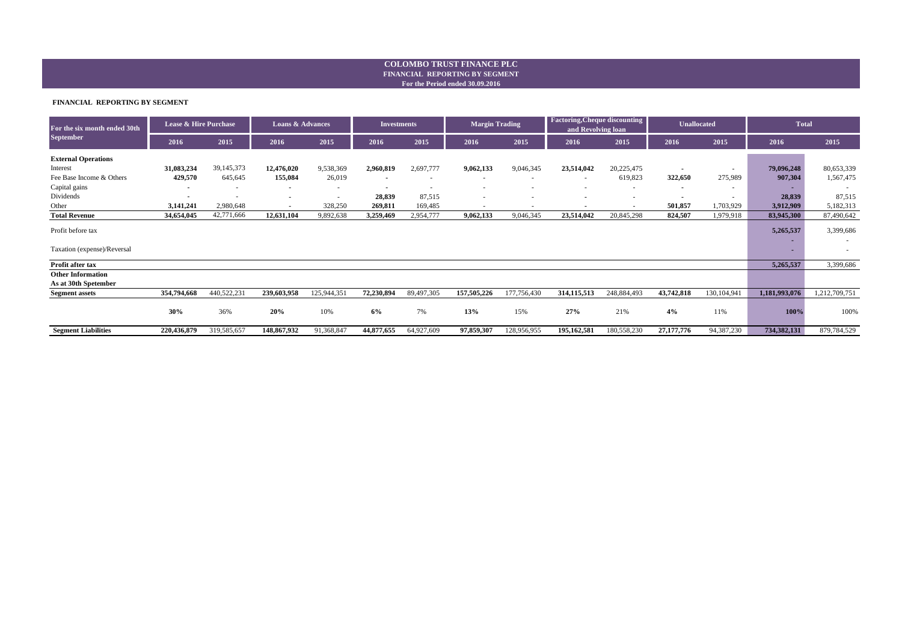#### **For the Period ended 30.09.2016 FINANCIAL REPORTING BY SEGMENT COLOMBO TRUST FINANCE PLC**

#### **FINANCIAL REPORTING BY SEGMENT**

| For the six month ended 30th                     | <b>Lease &amp; Hire Purchase</b> |                          | <b>Loans &amp; Advances</b> |             | <b>Investments</b>       |            | <b>Margin Trading</b>    |             | <b>Factoring, Cheque discounting</b><br>and Revolving loan |             | <b>Unallocated</b> |              | <b>Total</b>  |               |
|--------------------------------------------------|----------------------------------|--------------------------|-----------------------------|-------------|--------------------------|------------|--------------------------|-------------|------------------------------------------------------------|-------------|--------------------|--------------|---------------|---------------|
| <b>September</b>                                 | 2016                             | 2015                     | 2016                        | 2015        | 2016                     | 2015       | 2016                     | 2015        | 2016                                                       | 2015        | 2016               | 2015         | 2016          | 2015          |
| <b>External Operations</b>                       |                                  |                          |                             |             |                          |            |                          |             |                                                            |             |                    |              |               |               |
| Interest                                         | 31,083,234                       | 39,145,373               | 12,476,020                  | 9,538,369   | 2,960,819                | 2,697,777  | 9,062,133                | 9,046,345   | 23,514,042                                                 | 20,225,475  |                    | $\sim$       | 79,096,248    | 80,653,339    |
| Fee Base Income & Others                         | 429,570                          | 645,645                  | 155,084                     | 26,019      | $\overline{\phantom{a}}$ | $\sim$     | $\sim$                   | $\sim$      | $\sim$                                                     | 619,823     | 322,650            | 275,989      | 907,304       | 1,567,475     |
| Capital gains                                    |                                  |                          |                             |             | $\blacksquare$           | ۰.         | $\overline{\phantom{a}}$ | $\sim$      |                                                            |             | $\sim$             | ٠            |               |               |
| Dividends                                        | $\sim$                           | $\overline{\phantom{a}}$ |                             |             | 28,839                   | 87,515     |                          | $\sim$      |                                                            |             |                    | $\sim$       | 28,839        | 87,515        |
| Other                                            | 3,141,241                        | 2,980,648                | $\blacksquare$              | 328,250     | 269,811                  | 169,485    |                          |             |                                                            |             | 501,857            | 1,703,929    | 3,912,909     | 5,182,313     |
| <b>Total Revenue</b>                             | 34,654,045                       | 42,771,666               | 12,631,104                  | 9,892,638   | 3,259,469                | 2,954,777  | 9,062,133                | 9,046,345   | 23,514,042                                                 | 20,845,298  | 824,507            | 1,979,918    | 83,945,300    | 87,490,642    |
| Profit before tax                                |                                  |                          |                             |             |                          |            |                          |             |                                                            |             |                    |              | 5,265,537     | 3,399,686     |
| Taxation (expense)/Reversal                      |                                  |                          |                             |             |                          |            |                          |             |                                                            |             |                    |              |               |               |
| Profit after tax                                 |                                  |                          |                             |             |                          |            |                          |             |                                                            |             |                    |              | 5,265,537     | 3,399,686     |
| <b>Other Information</b><br>As at 30th Spetember |                                  |                          |                             |             |                          |            |                          |             |                                                            |             |                    |              |               |               |
| <b>Segment assets</b>                            | 354,794,668                      | 440,522,231              | 239,603,958                 | 125,944,351 | 72,230,894               | 89,497,305 | 157,505,226              | 177,756,430 | 314,115,513                                                | 248,884,493 | 43,742,818         | 130,104,941  | 1,181,993,076 | 1,212,709,751 |
|                                                  | 30%                              | 36%                      | 20%                         | 10%         | 6%                       | 7%         | 13%                      | 15%         | 27%                                                        | 21%         | 4%                 | 11%          | 100%          | 100%          |
| <b>Segment Liabilities</b>                       | 220,436,879                      | 319,585,657              | 148,867,932                 | 91,368,847  | 44,877,655               | 64,927,609 | 97,859,307               | 128,956,955 | 195,162,581                                                | 180,558,230 | 27, 177, 776       | 94, 387, 230 | 734,382,131   | 879,784,529   |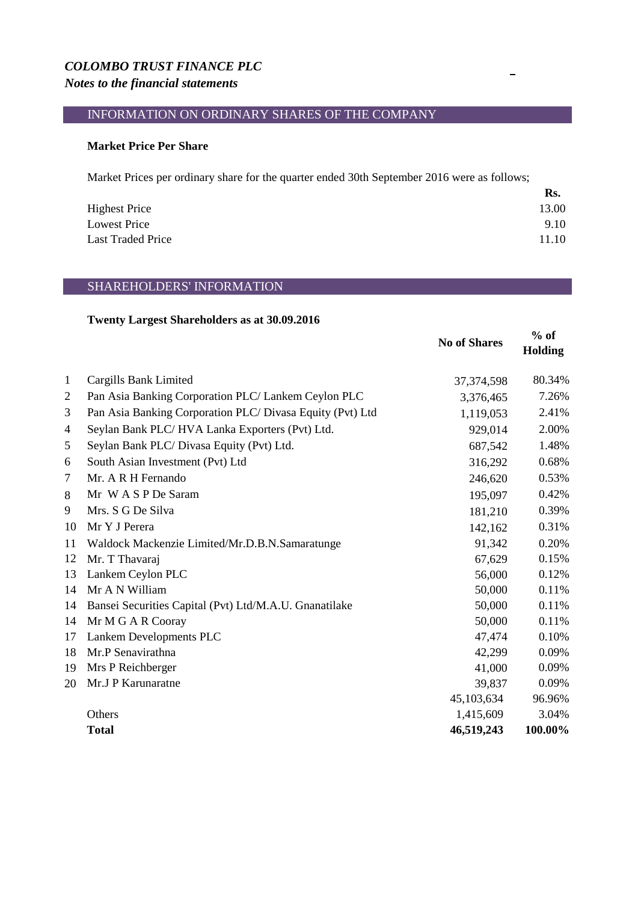### *COLOMBO TRUST FINANCE PLC*

### *Notes to the financial statements*

## INFORMATION ON ORDINARY SHARES OF THE COMPANY

#### **Market Price Per Share**

Market Prices per ordinary share for the quarter ended 30th September 2016 were as follows;

|                          | Rs.   |
|--------------------------|-------|
| <b>Highest Price</b>     | 13.00 |
| <b>Lowest Price</b>      | 9.10  |
| <b>Last Traded Price</b> | 11.10 |

#### SHAREHOLDERS' INFORMATION

#### **Twenty Largest Shareholders as at 30.09.2016**

|                          |                                                           | <b>No of Shares</b> | $%$ of<br><b>Holding</b> |
|--------------------------|-----------------------------------------------------------|---------------------|--------------------------|
| 1                        | Cargills Bank Limited                                     | 37, 374, 598        | 80.34%                   |
| $\overline{2}$           | Pan Asia Banking Corporation PLC/ Lankem Ceylon PLC       | 3,376,465           | 7.26%                    |
| 3                        | Pan Asia Banking Corporation PLC/ Divasa Equity (Pvt) Ltd | 1,119,053           | 2.41%                    |
| $\overline{\mathcal{A}}$ | Seylan Bank PLC/HVA Lanka Exporters (Pvt) Ltd.            | 929,014             | 2.00%                    |
| 5                        | Seylan Bank PLC/ Divasa Equity (Pvt) Ltd.                 | 687,542             | 1.48%                    |
| 6                        | South Asian Investment (Pvt) Ltd                          | 316,292             | 0.68%                    |
| $\tau$                   | Mr. A R H Fernando                                        | 246,620             | 0.53%                    |
| 8                        | Mr W A S P De Saram                                       | 195,097             | 0.42%                    |
| 9                        | Mrs. S G De Silva                                         | 181,210             | 0.39%                    |
| 10                       | Mr Y J Perera                                             | 142,162             | 0.31%                    |
| 11                       | Waldock Mackenzie Limited/Mr.D.B.N.Samaratunge            | 91,342              | 0.20%                    |
| 12                       | Mr. T Thavaraj                                            | 67,629              | 0.15%                    |
| 13                       | Lankem Ceylon PLC                                         | 56,000              | 0.12%                    |
| 14                       | Mr A N William                                            | 50,000              | 0.11%                    |
| 14                       | Bansei Securities Capital (Pvt) Ltd/M.A.U. Gnanatilake    | 50,000              | 0.11%                    |
| 14                       | Mr M G A R Cooray                                         | 50,000              | 0.11%                    |
| 17                       | Lankem Developments PLC                                   | 47,474              | 0.10%                    |
| 18                       | Mr.P Senavirathna                                         | 42,299              | 0.09%                    |
| 19                       | Mrs P Reichberger                                         | 41,000              | 0.09%                    |
| 20                       | Mr.J P Karunaratne                                        | 39,837              | 0.09%                    |
|                          |                                                           | 45,103,634          | 96.96%                   |
|                          | Others                                                    | 1,415,609           | 3.04%                    |
|                          | <b>Total</b>                                              | 46,519,243          | 100.00%                  |